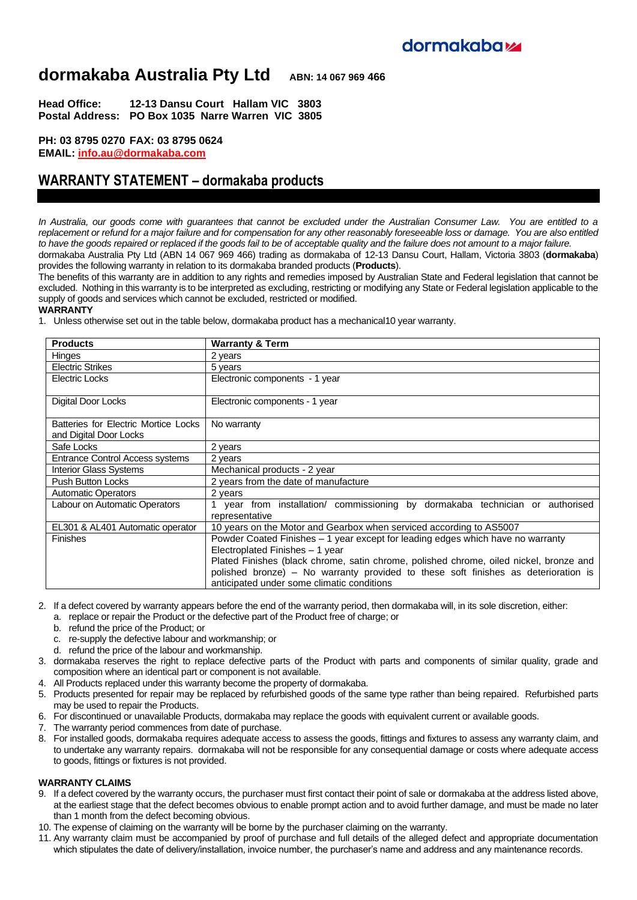### **dormakaba Australia Pty Ltd ABN: 14 067 969 <sup>466</sup>**

**Head Office: 12-13 Dansu Court Hallam VIC 3803 Postal Address: PO Box 1035 Narre Warren VIC 3805**

**PH: 03 8795 0270 FAX: 03 8795 0624**

**EMAIL: [info.au@dormakaba.com](mailto:info.au@dormakaba.com)**

## **WARRANTY STATEMENT – dormakaba products**

*In Australia, our goods come with guarantees that cannot be excluded under the Australian Consumer Law. You are entitled to a replacement or refund for a major failure and for compensation for any other reasonably foreseeable loss or damage. You are also entitled to have the goods repaired or replaced if the goods fail to be of acceptable quality and the failure does not amount to a major failure.* dormakaba Australia Pty Ltd (ABN 14 067 969 466) trading as dormakaba of 12-13 Dansu Court, Hallam, Victoria 3803 (**dormakaba**) provides the following warranty in relation to its dormakaba branded products (**Products**).

The benefits of this warranty are in addition to any rights and remedies imposed by Australian State and Federal legislation that cannot be excluded. Nothing in this warranty is to be interpreted as excluding, restricting or modifying any State or Federal legislation applicable to the supply of goods and services which cannot be excluded, restricted or modified.

#### **WARRANTY**

1. Unless otherwise set out in the table below, dormakaba product has a mechanical10 year warranty.

| <b>Products</b>                                                | <b>Warranty &amp; Term</b>                                                                                                                                                                                                                                                                                                                       |
|----------------------------------------------------------------|--------------------------------------------------------------------------------------------------------------------------------------------------------------------------------------------------------------------------------------------------------------------------------------------------------------------------------------------------|
| Hinges                                                         | 2 years                                                                                                                                                                                                                                                                                                                                          |
| <b>Electric Strikes</b>                                        | 5 years                                                                                                                                                                                                                                                                                                                                          |
| Electric Locks                                                 | Electronic components - 1 year                                                                                                                                                                                                                                                                                                                   |
| Digital Door Locks                                             | Electronic components - 1 year                                                                                                                                                                                                                                                                                                                   |
| Batteries for Electric Mortice Locks<br>and Digital Door Locks | No warranty                                                                                                                                                                                                                                                                                                                                      |
| Safe Locks                                                     | 2 years                                                                                                                                                                                                                                                                                                                                          |
| Entrance Control Access systems                                | 2 years                                                                                                                                                                                                                                                                                                                                          |
| <b>Interior Glass Systems</b>                                  | Mechanical products - 2 year                                                                                                                                                                                                                                                                                                                     |
| <b>Push Button Locks</b>                                       | 2 years from the date of manufacture                                                                                                                                                                                                                                                                                                             |
| <b>Automatic Operators</b>                                     | 2 years                                                                                                                                                                                                                                                                                                                                          |
| Labour on Automatic Operators                                  | year from installation/ commissioning by dormakaba technician or authorised<br>representative                                                                                                                                                                                                                                                    |
| EL301 & AL401 Automatic operator                               | 10 years on the Motor and Gearbox when serviced according to AS5007                                                                                                                                                                                                                                                                              |
| <b>Finishes</b>                                                | Powder Coated Finishes - 1 year except for leading edges which have no warranty<br>Electroplated Finishes - 1 year<br>Plated Finishes (black chrome, satin chrome, polished chrome, oiled nickel, bronze and<br>polished bronze) – No warranty provided to these soft finishes as deterioration is<br>anticipated under some climatic conditions |

- 2. If a defect covered by warranty appears before the end of the warranty period, then dormakaba will, in its sole discretion, either:
	- a. replace or repair the Product or the defective part of the Product free of charge; or
	- b. refund the price of the Product; or
	- c. re-supply the defective labour and workmanship; or
	- d. refund the price of the labour and workmanship.
- 3. dormakaba reserves the right to replace defective parts of the Product with parts and components of similar quality, grade and composition where an identical part or component is not available.
- 4. All Products replaced under this warranty become the property of dormakaba.
- 5. Products presented for repair may be replaced by refurbished goods of the same type rather than being repaired. Refurbished parts may be used to repair the Products.
- 6. For discontinued or unavailable Products, dormakaba may replace the goods with equivalent current or available goods.
- 7. The warranty period commences from date of purchase.
- 8. For installed goods, dormakaba requires adequate access to assess the goods, fittings and fixtures to assess any warranty claim, and to undertake any warranty repairs. dormakaba will not be responsible for any consequential damage or costs where adequate access to goods, fittings or fixtures is not provided.

#### **WARRANTY CLAIMS**

- 9. If a defect covered by the warranty occurs, the purchaser must first contact their point of sale or dormakaba at the address listed above, at the earliest stage that the defect becomes obvious to enable prompt action and to avoid further damage, and must be made no later than 1 month from the defect becoming obvious.
- 10. The expense of claiming on the warranty will be borne by the purchaser claiming on the warranty.
- 11. Any warranty claim must be accompanied by proof of purchase and full details of the alleged defect and appropriate documentation which stipulates the date of delivery/installation, invoice number, the purchaser's name and address and any maintenance records.